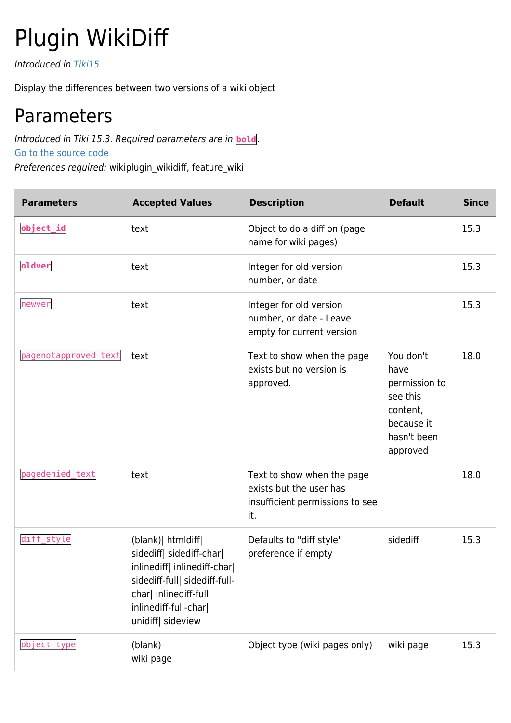## Plugin WikiDiff

Introduced in [Tiki15](https://doc.tiki.org/Tiki15)

Display the differences between two versions of a wiki object

## Parameters

Introduced in Tiki 15.3. Required parameters are in **bold**. [Go to the source code](https://gitlab.com/tikiwiki/tiki/-/blob/master/lib/wiki-plugins/wikiplugin_wikidiff.php)

Preferences required: wikiplugin\_wikidiff, feature\_wiki

| <b>Parameters</b>    | <b>Accepted Values</b>                                                                                                                                                                | <b>Description</b>                                                                              | <b>Default</b>                                                                                      | <b>Since</b> |
|----------------------|---------------------------------------------------------------------------------------------------------------------------------------------------------------------------------------|-------------------------------------------------------------------------------------------------|-----------------------------------------------------------------------------------------------------|--------------|
| object_id            | text                                                                                                                                                                                  | Object to do a diff on (page<br>name for wiki pages)                                            |                                                                                                     | 15.3         |
| oldver               | text                                                                                                                                                                                  | Integer for old version<br>number, or date                                                      |                                                                                                     | 15.3         |
| newver               | text                                                                                                                                                                                  | Integer for old version<br>number, or date - Leave<br>empty for current version                 |                                                                                                     | 15.3         |
| pagenotapproved_text | text                                                                                                                                                                                  | Text to show when the page<br>exists but no version is<br>approved.                             | You don't<br>have<br>permission to<br>see this<br>content,<br>because it<br>hasn't been<br>approved | 18.0         |
| pagedenied_text      | text                                                                                                                                                                                  | Text to show when the page<br>exists but the user has<br>insufficient permissions to see<br>it. |                                                                                                     | 18.0         |
| diff_style           | (blank) htmldiff<br>sidediff  sidediff-char <br>inlinediff  inlinediff-char <br>sidediff-full  sidediff-full-<br>char  inlinediff-full <br>inlinediff-full-char <br>unidiff  sideview | Defaults to "diff style"<br>preference if empty                                                 | sidediff                                                                                            | 15.3         |
| object_type          | (blank)<br>wiki page                                                                                                                                                                  | Object type (wiki pages only)                                                                   | wiki page                                                                                           | 15.3         |